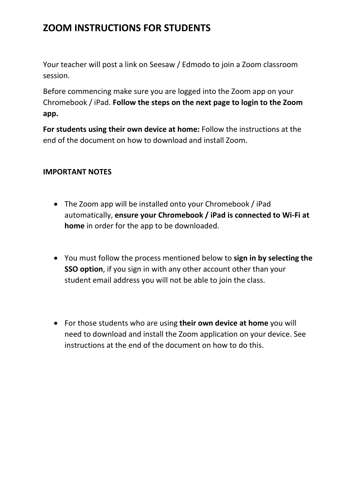### **ZOOM INSTRUCTIONS FOR STUDENTS**

Your teacher will post a link on Seesaw / Edmodo to join a Zoom classroom session.

Before commencing make sure you are logged into the Zoom app on your Chromebook / iPad. **Follow the steps on the next page to login to the Zoom app.**

**For students using their own device at home:** Follow the instructions at the end of the document on how to download and install Zoom.

#### **IMPORTANT NOTES**

- The Zoom app will be installed onto your Chromebook / iPad automatically, **ensure your Chromebook / iPad is connected to Wi-Fi at home** in order for the app to be downloaded.
- You must follow the process mentioned below to **sign in by selecting the SSO option**, if you sign in with any other account other than your student email address you will not be able to join the class.
- For those students who are using **their own device at home** you will need to download and install the Zoom application on your device. See instructions at the end of the document on how to do this.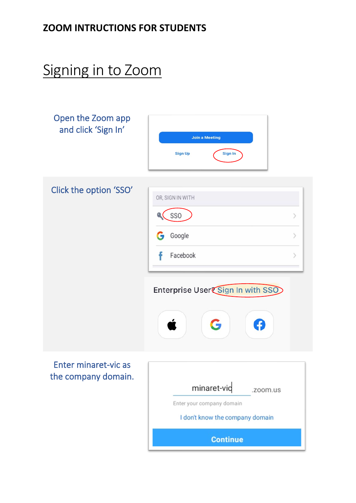## **ZOOM INTRUCTIONS FOR STUDENTS**

# Signing in to Zoom

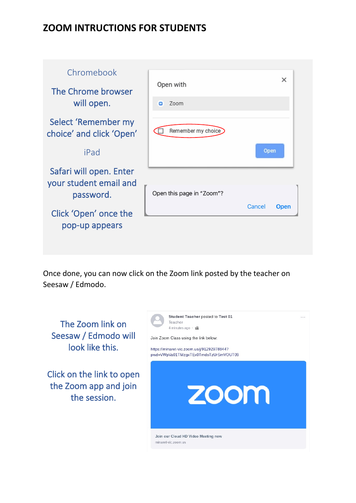### **ZOOM INTRUCTIONS FOR STUDENTS**



Once done, you can now click on the Zoom link posted by the teacher on Seesaw / Edmodo.

The Zoom link on Seesaw / Edmodo will look like this.

Click on the link to open the Zoom app and join the session.